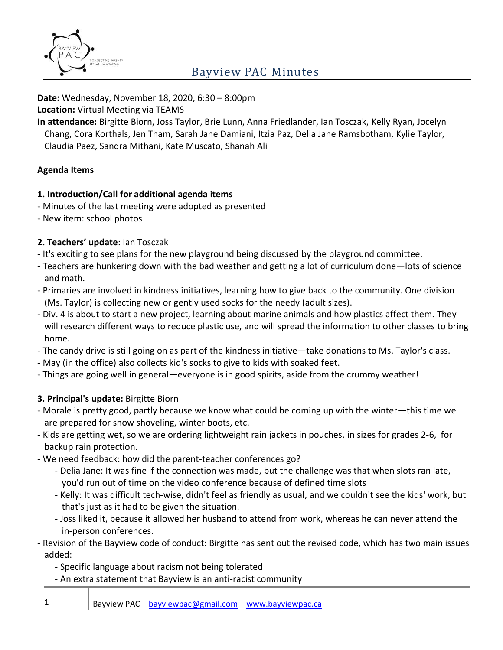

**Date:** Wednesday, November 18, 2020, 6:30 – 8:00pm

**Location:** Virtual Meeting via TEAMS

**In attendance:** Birgitte Biorn, Joss Taylor, Brie Lunn, Anna Friedlander, Ian Tosczak, Kelly Ryan, Jocelyn Chang, Cora Korthals, Jen Tham, Sarah Jane Damiani, Itzia Paz, Delia Jane Ramsbotham, Kylie Taylor, Claudia Paez, Sandra Mithani, Kate Muscato, Shanah Ali

#### **Agenda Items**

#### **1. Introduction/Call for additional agenda items**

- Minutes of the last meeting were adopted as presented
- New item: school photos

#### **2. Teachers' update**: Ian Tosczak

- It's exciting to see plans for the new playground being discussed by the playground committee.
- Teachers are hunkering down with the bad weather and getting a lot of curriculum done—lots of science and math.
- Primaries are involved in kindness initiatives, learning how to give back to the community. One division (Ms. Taylor) is collecting new or gently used socks for the needy (adult sizes).
- Div. 4 is about to start a new project, learning about marine animals and how plastics affect them. They will research different ways to reduce plastic use, and will spread the information to other classes to bring home.
- The candy drive is still going on as part of the kindness initiative—take donations to Ms. Taylor's class.
- May (in the office) also collects kid's socks to give to kids with soaked feet.
- Things are going well in general—everyone is in good spirits, aside from the crummy weather!

### **3. Principal's update:** Birgitte Biorn

- Morale is pretty good, partly because we know what could be coming up with the winter—this time we are prepared for snow shoveling, winter boots, etc.
- Kids are getting wet, so we are ordering lightweight rain jackets in pouches, in sizes for grades 2-6, for backup rain protection.
- We need feedback: how did the parent-teacher conferences go?
	- Delia Jane: It was fine if the connection was made, but the challenge was that when slots ran late, you'd run out of time on the video conference because of defined time slots
	- Kelly: It was difficult tech-wise, didn't feel as friendly as usual, and we couldn't see the kids' work, but that's just as it had to be given the situation.
	- Joss liked it, because it allowed her husband to attend from work, whereas he can never attend the in-person conferences.
- Revision of the Bayview code of conduct: Birgitte has sent out the revised code, which has two main issues added:
	- Specific language about racism not being tolerated
	- An extra statement that Bayview is an anti-racist community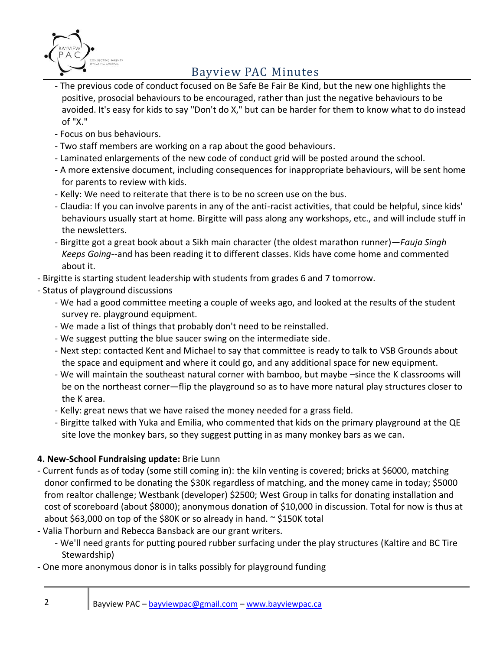

- The previous code of conduct focused on Be Safe Be Fair Be Kind, but the new one highlights the positive, prosocial behaviours to be encouraged, rather than just the negative behaviours to be avoided. It's easy for kids to say "Don't do X," but can be harder for them to know what to do instead of "X."
- Focus on bus behaviours.
- Two staff members are working on a rap about the good behaviours.
- Laminated enlargements of the new code of conduct grid will be posted around the school.
- A more extensive document, including consequences for inappropriate behaviours, will be sent home for parents to review with kids.
- Kelly: We need to reiterate that there is to be no screen use on the bus.
- Claudia: If you can involve parents in any of the anti-racist activities, that could be helpful, since kids' behaviours usually start at home. Birgitte will pass along any workshops, etc., and will include stuff in the newsletters.
- Birgitte got a great book about a Sikh main character (the oldest marathon runner)—*Fauja Singh Keeps Going*--and has been reading it to different classes. Kids have come home and commented about it.
- Birgitte is starting student leadership with students from grades 6 and 7 tomorrow.
- Status of playground discussions
	- We had a good committee meeting a couple of weeks ago, and looked at the results of the student survey re. playground equipment.
	- We made a list of things that probably don't need to be reinstalled.
	- We suggest putting the blue saucer swing on the intermediate side.
	- Next step: contacted Kent and Michael to say that committee is ready to talk to VSB Grounds about the space and equipment and where it could go, and any additional space for new equipment.
	- We will maintain the southeast natural corner with bamboo, but maybe –since the K classrooms will be on the northeast corner—flip the playground so as to have more natural play structures closer to the K area.
	- Kelly: great news that we have raised the money needed for a grass field.
	- Birgitte talked with Yuka and Emilia, who commented that kids on the primary playground at the QE site love the monkey bars, so they suggest putting in as many monkey bars as we can.

#### **4. New-School Fundraising update:** Brie Lunn

- Current funds as of today (some still coming in): the kiln venting is covered; bricks at \$6000, matching donor confirmed to be donating the \$30K regardless of matching, and the money came in today; \$5000 from realtor challenge; Westbank (developer) \$2500; West Group in talks for donating installation and cost of scoreboard (about \$8000); anonymous donation of \$10,000 in discussion. Total for now is thus at about \$63,000 on top of the \$80K or so already in hand. ~ \$150K total
- Valia Thorburn and Rebecca Bansback are our grant writers.
	- We'll need grants for putting poured rubber surfacing under the play structures (Kaltire and BC Tire Stewardship)
- One more anonymous donor is in talks possibly for playground funding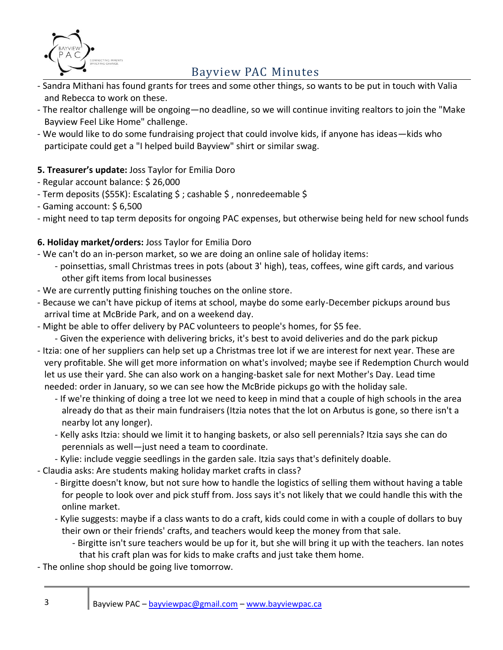

- Sandra Mithani has found grants for trees and some other things, so wants to be put in touch with Valia and Rebecca to work on these.
- The realtor challenge will be ongoing—no deadline, so we will continue inviting realtors to join the "Make Bayview Feel Like Home" challenge.
- We would like to do some fundraising project that could involve kids, if anyone has ideas—kids who participate could get a "I helped build Bayview" shirt or similar swag.

## **5. Treasurer's update:** Joss Taylor for Emilia Doro

- Regular account balance: \$ 26,000
- Term deposits (\$55K): Escalating \$ ; cashable \$, nonredeemable \$
- Gaming account: \$ 6,500
- might need to tap term deposits for ongoing PAC expenses, but otherwise being held for new school funds

## **6. Holiday market/orders:** Joss Taylor for Emilia Doro

- We can't do an in-person market, so we are doing an online sale of holiday items:
	- poinsettias, small Christmas trees in pots (about 3' high), teas, coffees, wine gift cards, and various other gift items from local businesses
- We are currently putting finishing touches on the online store.
- Because we can't have pickup of items at school, maybe do some early-December pickups around bus arrival time at McBride Park, and on a weekend day.
- Might be able to offer delivery by PAC volunteers to people's homes, for \$5 fee.

- Given the experience with delivering bricks, it's best to avoid deliveries and do the park pickup

- Itzia: one of her suppliers can help set up a Christmas tree lot if we are interest for next year. These are very profitable. She will get more information on what's involved; maybe see if Redemption Church would let us use their yard. She can also work on a hanging-basket sale for next Mother's Day. Lead time needed: order in January, so we can see how the McBride pickups go with the holiday sale.
	- If we're thinking of doing a tree lot we need to keep in mind that a couple of high schools in the area already do that as their main fundraisers (Itzia notes that the lot on Arbutus is gone, so there isn't a nearby lot any longer).
	- Kelly asks Itzia: should we limit it to hanging baskets, or also sell perennials? Itzia says she can do perennials as well—just need a team to coordinate.
	- Kylie: include veggie seedlings in the garden sale. Itzia says that's definitely doable.
- Claudia asks: Are students making holiday market crafts in class?
	- Birgitte doesn't know, but not sure how to handle the logistics of selling them without having a table for people to look over and pick stuff from. Joss says it's not likely that we could handle this with the online market.
	- Kylie suggests: maybe if a class wants to do a craft, kids could come in with a couple of dollars to buy their own or their friends' crafts, and teachers would keep the money from that sale.
		- Birgitte isn't sure teachers would be up for it, but she will bring it up with the teachers. Ian notes that his craft plan was for kids to make crafts and just take them home.
- The online shop should be going live tomorrow.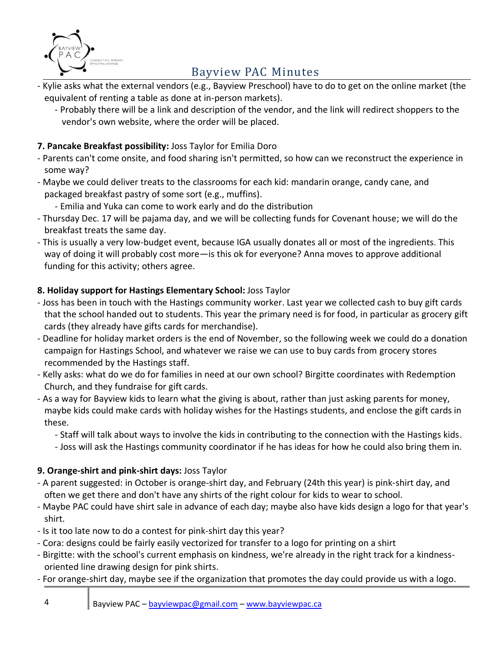

- Kylie asks what the external vendors (e.g., Bayview Preschool) have to do to get on the online market (the equivalent of renting a table as done at in-person markets).
	- Probably there will be a link and description of the vendor, and the link will redirect shoppers to the vendor's own website, where the order will be placed.

## **7. Pancake Breakfast possibility:** Joss Taylor for Emilia Doro

- Parents can't come onsite, and food sharing isn't permitted, so how can we reconstruct the experience in some way?
- Maybe we could deliver treats to the classrooms for each kid: mandarin orange, candy cane, and packaged breakfast pastry of some sort (e.g., muffins).
	- Emilia and Yuka can come to work early and do the distribution
- Thursday Dec. 17 will be pajama day, and we will be collecting funds for Covenant house; we will do the breakfast treats the same day.
- This is usually a very low-budget event, because IGA usually donates all or most of the ingredients. This way of doing it will probably cost more—is this ok for everyone? Anna moves to approve additional funding for this activity; others agree.

### **8. Holiday support for Hastings Elementary School:** Joss Taylor

- Joss has been in touch with the Hastings community worker. Last year we collected cash to buy gift cards that the school handed out to students. This year the primary need is for food, in particular as grocery gift cards (they already have gifts cards for merchandise).
- Deadline for holiday market orders is the end of November, so the following week we could do a donation campaign for Hastings School, and whatever we raise we can use to buy cards from grocery stores recommended by the Hastings staff.
- Kelly asks: what do we do for families in need at our own school? Birgitte coordinates with Redemption Church, and they fundraise for gift cards.
- As a way for Bayview kids to learn what the giving is about, rather than just asking parents for money, maybe kids could make cards with holiday wishes for the Hastings students, and enclose the gift cards in these.
	- Staff will talk about ways to involve the kids in contributing to the connection with the Hastings kids.
	- Joss will ask the Hastings community coordinator if he has ideas for how he could also bring them in.

### **9. Orange-shirt and pink-shirt days:** Joss Taylor

- A parent suggested: in October is orange-shirt day, and February (24th this year) is pink-shirt day, and often we get there and don't have any shirts of the right colour for kids to wear to school.
- Maybe PAC could have shirt sale in advance of each day; maybe also have kids design a logo for that year's shirt.
- Is it too late now to do a contest for pink-shirt day this year?
- Cora: designs could be fairly easily vectorized for transfer to a logo for printing on a shirt
- Birgitte: with the school's current emphasis on kindness, we're already in the right track for a kindnessoriented line drawing design for pink shirts.
- For orange-shirt day, maybe see if the organization that promotes the day could provide us with a logo.